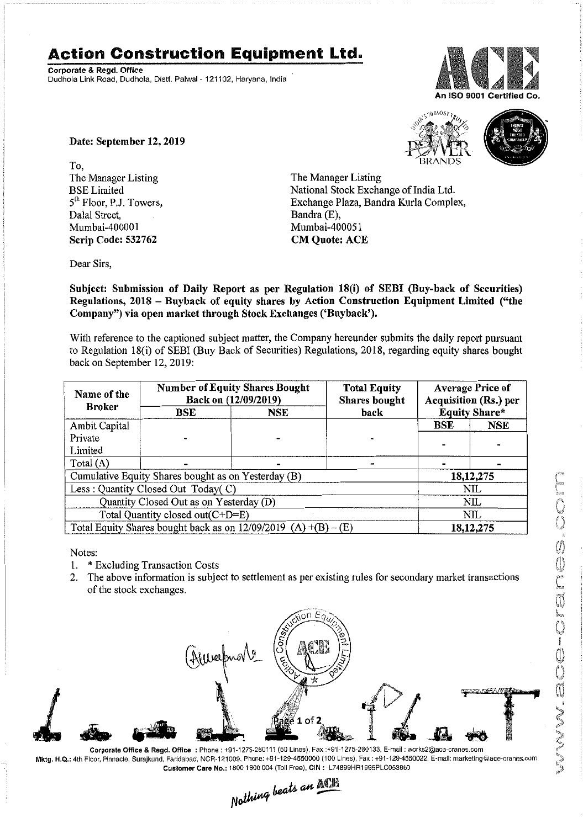## **Action Construction Equipment Ltd.**

Corporate & Regd. Office Dudhola Link Road, Dudhola, Distt. Palwal- 121102, Haryana, India



Date: September 12, 2019

To, The Manager Listing BSE Limited 5<sup>th</sup> Floor, P.J. Towers, Dalal Street, Mumbai-400001 Scrip Code: 532762

The Manager Listing National Stock Exchange of India Ltd. Exchange Plaza, Bandra Kurla Complex, Bandra (E),

 $5^{10\text{ MOS}}$ 



Subject: Submission of Daily Report as per Regulation 18(i) of SEBI (Buy-back of Securities) Regulations, 2018 - Buyback of equity shares by Action Construction Equipment Limited ("the Company") via open market through Stock Exchanges ('Buyback').

Mumbai-4000S1 CM Quote: ACE

With reference to the captioned subject matter, the Company hereunder submits the daily report pursuant to Regulation 18(i) of SEBI (Buy Back of Securities) Regulations, 2018, regarding equity shares bought back on September 12,2019:

| Name of the<br><b>Broker</b>                                      | <b>Number of Equity Shares Bought</b><br>Back on (12/09/2019) |            | <b>Total Equity</b><br><b>Shares bought</b> | <b>Average Price of</b><br>Acquisition (Rs.) per |             |  |
|-------------------------------------------------------------------|---------------------------------------------------------------|------------|---------------------------------------------|--------------------------------------------------|-------------|--|
|                                                                   | BSE                                                           | <b>NSE</b> | back                                        | <b>Equity Share*</b>                             |             |  |
| Ambit Capital                                                     |                                                               |            |                                             | <b>BSE</b>                                       | <b>NSE</b>  |  |
| Private                                                           |                                                               |            |                                             |                                                  |             |  |
| Limited                                                           |                                                               |            |                                             |                                                  |             |  |
| Total $(A)$                                                       |                                                               |            |                                             |                                                  |             |  |
| Cumulative Equity Shares bought as on Yesterday (B)               |                                                               |            |                                             |                                                  | 18, 12, 275 |  |
| Less: Quantity Closed Out Today(C)                                |                                                               |            |                                             | <b>NIL</b>                                       |             |  |
| Quantity Closed Out as on Yesterday (D)                           |                                                               |            |                                             | NIL                                              |             |  |
| Total Quantity closed out(C+D=E)                                  |                                                               |            |                                             | NIL                                              |             |  |
| Total Equity Shares bought back as on $12/09/2019$ (A) +(B) – (E) |                                                               |            |                                             | 18, 12, 275                                      |             |  |

Notes:

- 1. \* Excluding Transaction Costs
- 2. The above information is subject to settlement as per existing rules for secondary market transactions of the stock exchanges.



Corporate Office & Regd. Office: Phone: +91-1275-280111(50 Lines). Fax:+91-1275-280133, E-mail: works2@aca-cranes.com Mktg. H.Q.: 4th Floor, Pinnaclo,Surajkund, Faridabad, NCR-121009, Phone: +91-129·4550000 (100 Linos), Fax: +91-129-4550022,E-mail:marketing@ace·cranes.com

Customer Care No.: 1800 1800 004 (Toll Free), CIN: L74899HR1995PLC053860<br>
Mathimg beats an **ACTE**